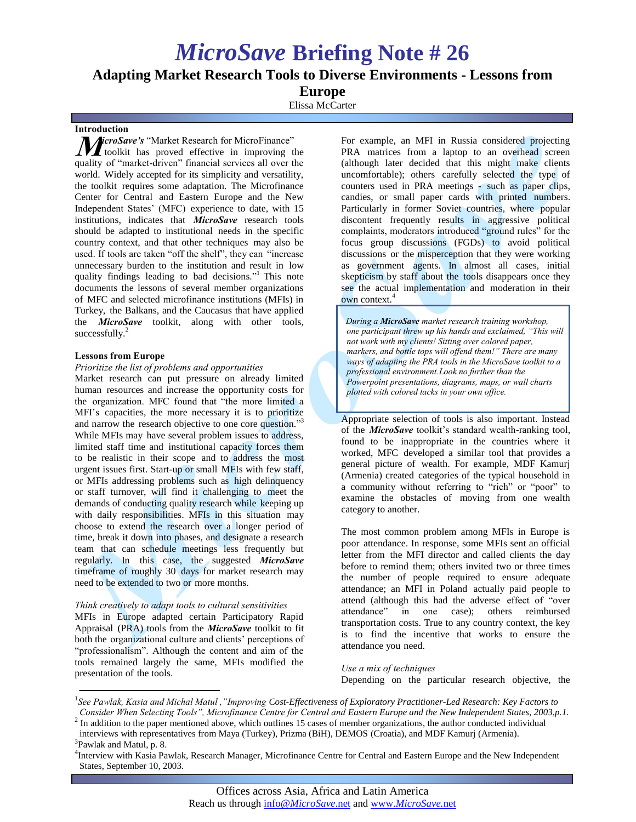# *MicroSave* **Briefing Note # 26**

# **Adapting Market Research Tools to Diverse Environments - Lessons from**

**Europe**

Elissa McCarter

# **Introduction**

*MicroSave's* "Market Research for MicroFinance" toolkit has proved effective in improving t toolkit has proved effective in improving the quality of "market-driven" financial services all over the world. Widely accepted for its simplicity and versatility, the toolkit requires some adaptation. The Microfinance Center for Central and Eastern Europe and the New Independent States' (MFC) experience to date, with 15 institutions, indicates that *MicroSave* research tools should be adapted to institutional needs in the specific country context, and that other techniques may also be used. If tools are taken "off the shelf", they can "increase unnecessary burden to the institution and result in low quality findings leading to bad decisions."<sup>1</sup> This note documents the lessons of several member organizations of MFC and selected microfinance institutions (MFIs) in Turkey, the Balkans, and the Caucasus that have applied the *MicroSave* toolkit, along with other tools, successfully. $^{2}$ 

# **Lessons from Europe**

#### *Prioritize the list of problems and opportunities*

Market research can put pressure on already limited human resources and increase the opportunity costs for the organization. MFC found that "the more limited a MFI's capacities, the more necessary it is to prioritize and narrow the research objective to one core question."<sup>3</sup> While MFIs may have several problem issues to address, limited staff time and institutional capacity forces them to be realistic in their scope and to address the most urgent issues first. Start-up or small MFIs with few staff, or MFIs addressing problems such as high delinquency or staff turnover, will find it challenging to meet the demands of conducting quality research while keeping up with daily responsibilities. MFIs in this situation may choose to extend the research over a longer period of time, break it down into phases, and designate a research team that can schedule meetings less frequently but regularly. In this case, the suggested *MicroSave*  timeframe of roughly 30 days for market research may need to be extended to two or more months.

#### *Think creatively to adapt tools to cultural sensitivities*

MFIs in Europe adapted certain Participatory Rapid Appraisal (PRA) tools from the *MicroSave* toolkit to fit both the organizational culture and clients' perceptions of "professionalism". Although the content and aim of the tools remained largely the same, MFIs modified the presentation of the tools.

For example, an MFI in Russia considered projecting PRA matrices from a laptop to an overhead screen (although later decided that this might make clients uncomfortable); others carefully selected the type of counters used in PRA meetings - such as paper clips, candies, or small paper cards with printed numbers. Particularly in former Soviet countries, where popular discontent frequently results in aggressive political complaints, moderators introduced "ground rules" for the focus group discussions (FGDs) to avoid political discussions or the misperception that they were working as government agents. In almost all cases, initial skepticism by staff about the tools disappears once they see the actual implementation and moderation in their own context.<sup>4</sup>

*During a MicroSave market research training workshop, one participant threw up his hands and exclaimed, "This will not work with my clients! Sitting over colored paper, markers, and bottle tops will offend them!" There are many ways of adapting the PRA tools in the MicroSave toolkit to a professional environment.Look no further than the Powerpoint presentations, diagrams, maps, or wall charts plotted with colored tacks in your own office.*

Appropriate selection of tools is also important. Instead of the *MicroSave* toolkit's standard wealth-ranking tool, found to be inappropriate in the countries where it worked, MFC developed a similar tool that provides a general picture of wealth. For example, MDF Kamurj (Armenia) created categories of the typical household in a community without referring to "rich" or "poor" to examine the obstacles of moving from one wealth category to another.

The most common problem among MFIs in Europe is poor attendance. In response, some MFIs sent an official letter from the MFI director and called clients the day before to remind them; others invited two or three times the number of people required to ensure adequate attendance; an MFI in Poland actually paid people to attend (although this had the adverse effect of "over attendance" in one case); others reimbursed transportation costs. True to any country context, the key is to find the incentive that works to ensure the attendance you need.

#### *Use a mix of techniques* Depending on the particular research objective, the

<sup>&</sup>lt;sup>1</sup> See Pawlak, Kasia and Michal Matul ,"Improving Cost-Effectiveness of Exploratory Practitioner-Led Research: Key Factors to *Consider When Selecting Tools", Microfinance Centre for Central and Eastern Europe and the New Independent States, 2003,p.1.*

 $<sup>2</sup>$  In addition to the paper mentioned above, which outlines 15 cases of member organizations, the author conducted individual</sup> interviews with representatives from Maya (Turkey), Prizma (BiH), DEMOS (Croatia), and MDF Kamurj (Armenia).

<sup>&</sup>lt;sup>3</sup>Pawlak and Matul, p. 8.

<sup>4</sup> Interview with Kasia Pawlak, Research Manager, Microfinance Centre for Central and Eastern Europe and the New Independent States, September 10, 2003.